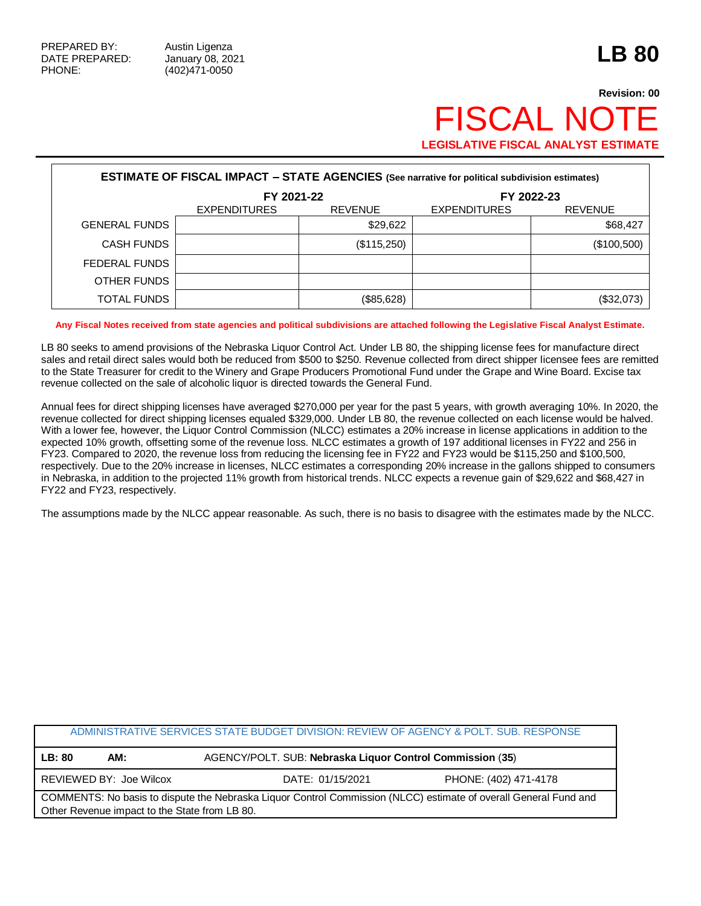## **Revision: 00 FISCAL NO LEGISLATIVE FISCAL ANALYST ESTIMATE**

| <b>ESTIMATE OF FISCAL IMPACT - STATE AGENCIES</b> (See narrative for political subdivision estimates) |                     |                |                     |                |
|-------------------------------------------------------------------------------------------------------|---------------------|----------------|---------------------|----------------|
|                                                                                                       | FY 2021-22          |                | FY 2022-23          |                |
|                                                                                                       | <b>EXPENDITURES</b> | <b>REVENUE</b> | <b>EXPENDITURES</b> | <b>REVENUE</b> |
| <b>GENERAL FUNDS</b>                                                                                  |                     | \$29,622       |                     | \$68,427       |
| <b>CASH FUNDS</b>                                                                                     |                     | (\$115,250)    |                     | (\$100,500)    |
| FEDERAL FUNDS                                                                                         |                     |                |                     |                |
| OTHER FUNDS                                                                                           |                     |                |                     |                |
| TOTAL FUNDS                                                                                           |                     | (\$85,628)     |                     | (\$32,073)     |

**Any Fiscal Notes received from state agencies and political subdivisions are attached following the Legislative Fiscal Analyst Estimate.**

LB 80 seeks to amend provisions of the Nebraska Liquor Control Act. Under LB 80, the shipping license fees for manufacture direct sales and retail direct sales would both be reduced from \$500 to \$250. Revenue collected from direct shipper licensee fees are remitted to the State Treasurer for credit to the Winery and Grape Producers Promotional Fund under the Grape and Wine Board. Excise tax revenue collected on the sale of alcoholic liquor is directed towards the General Fund.

Annual fees for direct shipping licenses have averaged \$270,000 per year for the past 5 years, with growth averaging 10%. In 2020, the revenue collected for direct shipping licenses equaled \$329,000. Under LB 80, the revenue collected on each license would be halved. With a lower fee, however, the Liquor Control Commission (NLCC) estimates a 20% increase in license applications in addition to the expected 10% growth, offsetting some of the revenue loss. NLCC estimates a growth of 197 additional licenses in FY22 and 256 in FY23. Compared to 2020, the revenue loss from reducing the licensing fee in FY22 and FY23 would be \$115,250 and \$100,500, respectively. Due to the 20% increase in licenses, NLCC estimates a corresponding 20% increase in the gallons shipped to consumers in Nebraska, in addition to the projected 11% growth from historical trends. NLCC expects a revenue gain of \$29,622 and \$68,427 in FY22 and FY23, respectively.

The assumptions made by the NLCC appear reasonable. As such, there is no basis to disagree with the estimates made by the NLCC.

| ADMINISTRATIVE SERVICES STATE BUDGET DIVISION: REVIEW OF AGENCY & POLT. SUB. RESPONSE                                                                             |  |                                                           |                       |  |
|-------------------------------------------------------------------------------------------------------------------------------------------------------------------|--|-----------------------------------------------------------|-----------------------|--|
| LB: 80<br>AM:                                                                                                                                                     |  | AGENCY/POLT. SUB: Nebraska Liquor Control Commission (35) |                       |  |
| REVIEWED BY: Joe Wilcox                                                                                                                                           |  | DATE: 01/15/2021                                          | PHONE: (402) 471-4178 |  |
| COMMENTS: No basis to dispute the Nebraska Liquor Control Commission (NLCC) estimate of overall General Fund and<br>Other Revenue impact to the State from LB 80. |  |                                                           |                       |  |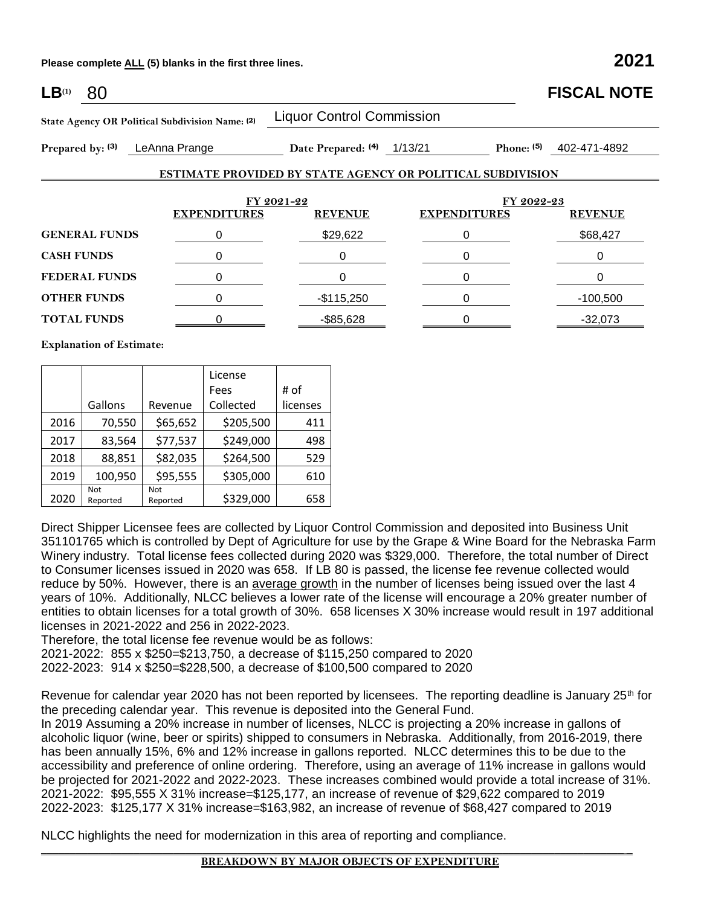**Please complete ALL (5) blanks in the first three lines. 2021**

| $LB^{(1)}$<br>80                                                                     |   |                                  |                                                                   | <b>FISCAL NOTE</b> |  |
|--------------------------------------------------------------------------------------|---|----------------------------------|-------------------------------------------------------------------|--------------------|--|
| State Agency OR Political Subdivision Name: (2)<br>LeAnna Prange<br>Prepared by: (3) |   | <b>Liquor Control Commission</b> |                                                                   |                    |  |
|                                                                                      |   | Date Prepared: (4)               | 1/13/21<br>Phone: $(5)$                                           | 402-471-4892       |  |
|                                                                                      |   |                                  | <b>ESTIMATE PROVIDED BY STATE AGENCY OR POLITICAL SUBDIVISION</b> |                    |  |
|                                                                                      |   |                                  |                                                                   |                    |  |
| <b>EXPENDITURES</b>                                                                  |   | FY 2021-22<br><b>REVENUE</b>     | FY 2022-23<br><b>EXPENDITURES</b><br><b>REVENUE</b>               |                    |  |
| <b>GENERAL FUNDS</b>                                                                 | 0 | \$29,622                         | 0                                                                 | \$68,427           |  |
| <b>CASH FUNDS</b>                                                                    | 0 | 0                                | 0                                                                 | 0                  |  |
| <b>FEDERAL FUNDS</b>                                                                 | 0 | 0                                | 0                                                                 | 0                  |  |
| <b>OTHER FUNDS</b>                                                                   | 0 | $-$115,250$                      | 0                                                                 | -100,500           |  |
| <b>TOTAL FUNDS</b>                                                                   | 0 | $-$ \$85,628                     | 0                                                                 | $-32,073$          |  |

**Explanation of Estimate:**

|      |                 |                        | License<br>Fees | # of     |
|------|-----------------|------------------------|-----------------|----------|
|      | Gallons         | Revenue                | Collected       | licenses |
| 2016 | 70,550          | \$65,652               | \$205,500       | 411      |
| 2017 | 83,564          | \$77,537               | \$249,000       | 498      |
| 2018 | 88,851          | \$82,035               | \$264,500       | 529      |
| 2019 | 100,950         | \$95,555               | \$305,000       | 610      |
| 2020 | Not<br>Reported | <b>Not</b><br>Reported | \$329,000       | 658      |

Direct Shipper Licensee fees are collected by Liquor Control Commission and deposited into Business Unit 351101765 which is controlled by Dept of Agriculture for use by the Grape & Wine Board for the Nebraska Farm Winery industry. Total license fees collected during 2020 was \$329,000. Therefore, the total number of Direct to Consumer licenses issued in 2020 was 658. If LB 80 is passed, the license fee revenue collected would reduce by 50%. However, there is an average growth in the number of licenses being issued over the last 4 years of 10%. Additionally, NLCC believes a lower rate of the license will encourage a 20% greater number of entities to obtain licenses for a total growth of 30%. 658 licenses X 30% increase would result in 197 additional licenses in 2021-2022 and 256 in 2022-2023.

Therefore, the total license fee revenue would be as follows: 2021-2022: 855 x \$250=\$213,750, a decrease of \$115,250 compared to 2020

2022-2023: 914 x \$250=\$228,500, a decrease of \$100,500 compared to 2020

Revenue for calendar year 2020 has not been reported by licensees. The reporting deadline is January 25<sup>th</sup> for the preceding calendar year. This revenue is deposited into the General Fund.

In 2019 Assuming a 20% increase in number of licenses, NLCC is projecting a 20% increase in gallons of alcoholic liquor (wine, beer or spirits) shipped to consumers in Nebraska. Additionally, from 2016-2019, there has been annually 15%, 6% and 12% increase in gallons reported. NLCC determines this to be due to the accessibility and preference of online ordering. Therefore, using an average of 11% increase in gallons would be projected for 2021-2022 and 2022-2023. These increases combined would provide a total increase of 31%. 2021-2022: \$95,555 X 31% increase=\$125,177, an increase of revenue of \$29,622 compared to 2019 2022-2023: \$125,177 X 31% increase=\$163,982, an increase of revenue of \$68,427 compared to 2019

NLCC highlights the need for modernization in this area of reporting and compliance.